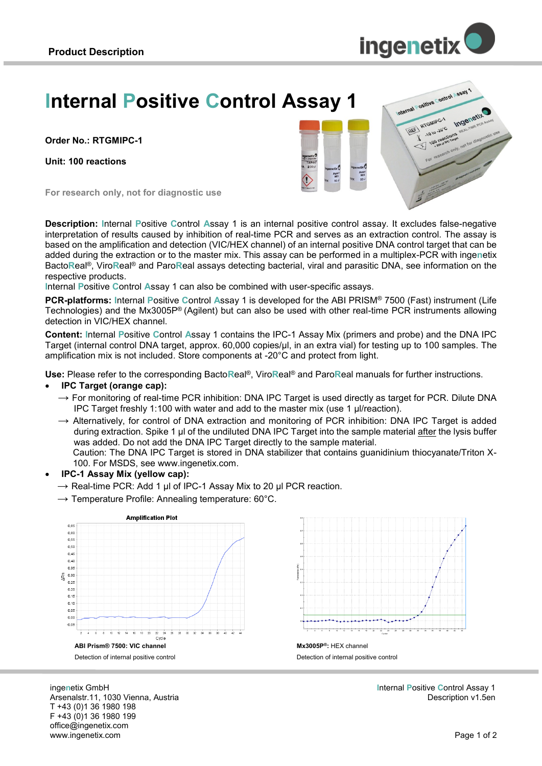

hearal pailive control seay 1

TREET RTGMIPC-1 TGMIPO 100 read

**Ingenetity** 

# **Internal Positive Control Assay 1**

**Order No.: RTGMIPC-1**

**Unit: 100 reactions**

**For research only, not for diagnostic use**

**Description: I**nternal **P**ositive **C**ontrol **A**ssay 1 is an internal positive control assay. It excludes false-negative interpretation of results caused by inhibition of real-time PCR and serves as an extraction control. The assay is based on the amplification and detection (VIC/HEX channel) of an internal positive DNA control target that can be added during the extraction or to the master mix. This assay can be performed in a multiplex-PCR with inge**n**etix Bacto**R**eal®, Viro**R**eal® and Paro**R**eal assays detecting bacterial, viral and parasitic DNA, see information on the respective products.

**I**nternal **P**ositive **C**ontrol **A**ssay 1 can also be combined with user-specific assays.

**PCR-platforms: I**nternal **P**ositive **C**ontrol **A**ssay 1 is developed for the ABI PRISM® 7500 (Fast) instrument (Life Technologies) and the Mx3005P® (Agilent) but can also be used with other real-time PCR instruments allowing detection in VIC/HEX channel.

**Content: I**nternal **P**ositive **C**ontrol **A**ssay 1 contains the IPC-1 Assay Mix (primers and probe) and the DNA IPC Target (internal control DNA target, approx. 60,000 copies/µl, in an extra vial) for testing up to 100 samples. The amplification mix is not included. Store components at -20°C and protect from light.

**Use:** Please refer to the corresponding Bacto**R**eal®, Viro**R**eal® and Paro**R**eal manuals for further instructions.

#### **IPC Target (orange cap):**

- $\rightarrow$  For monitoring of real-time PCR inhibition: DNA IPC Target is used directly as target for PCR. Dilute DNA IPC Target freshly 1:100 with water and add to the master mix (use 1 µl/reaction).
- $\rightarrow$  Alternatively, for control of DNA extraction and monitoring of PCR inhibition: DNA IPC Target is added during extraction. Spike 1 µl of the undiluted DNA IPC Target into the sample material after the lysis buffer was added. Do not add the DNA IPC Target directly to the sample material. Caution: The DNA IPC Target is stored in DNA stabilizer that contains guanidinium thiocyanate/Triton X-100. For MSDS, see www.ingenetix.com.
- **IPC-1 Assay Mix (yellow cap):** 
	- $\rightarrow$  Real-time PCR: Add 1 µl of IPC-1 Assay Mix to 20 µl PCR reaction.
	- $\rightarrow$  Temperature Profile: Annealing temperature: 60°C.





Detection of internal positive control

**I**nternal **P**ositive **C**ontrol Assay 1 Description v1.5en

inge**n**etix GmbH Arsenalstr.11, 1030 Vienna, Austria T +43 (0)1 36 1980 198 F +43 (0)1 36 1980 199 office@ingenetix.com www.ingenetix.com